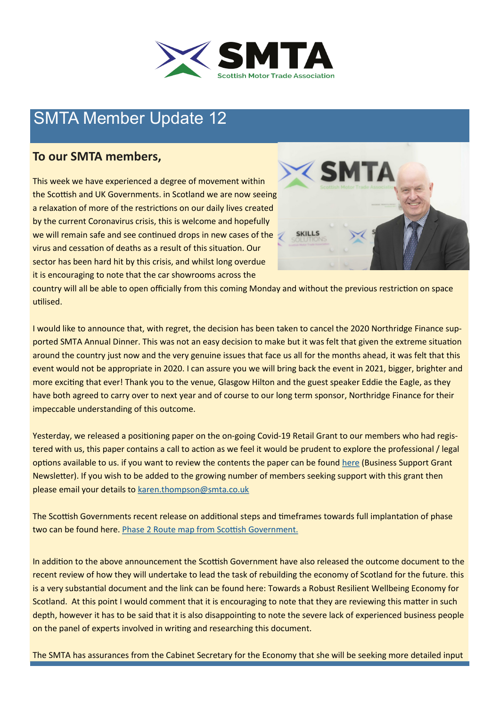

# SMTA Member Update 12

## **To our SMTA members,**

This week we have experienced a degree of movement within the Scottish and UK Governments. in Scotland we are now seeing a relaxation of more of the restrictions on our daily lives created by the current Coronavirus crisis, this is welcome and hopefully we will remain safe and see continued drops in new cases of the virus and cessation of deaths as a result of this situation. Our sector has been hard hit by this crisis, and whilst long overdue it is encouraging to note that the car showrooms across the



country will all be able to open officially from this coming Monday and without the previous restriction on space utilised.

I would like to announce that, with regret, the decision has been taken to cancel the 2020 Northridge Finance supported SMTA Annual Dinner. This was not an easy decision to make but it was felt that given the extreme situation around the country just now and the very genuine issues that face us all for the months ahead, it was felt that this event would not be appropriate in 2020. I can assure you we will bring back the event in 2021, bigger, brighter and more exciting that ever! Thank you to the venue, Glasgow Hilton and the guest speaker Eddie the Eagle, as they have both agreed to carry over to next year and of course to our long term sponsor, Northridge Finance for their impeccable understanding of this outcome.

Yesterday, we released a positioning paper on the on-going Covid-19 Retail Grant to our members who had registered with us, this paper contains a call to action as we feel it would be prudent to explore the professional / legal options available to us. if you want to review the contents the paper can be found [here](file:///C:/Users/karen/Documents/Grant Relief Emails/SMTA_COVID_BUSINESS_GRANT_NEWSLETTER (1).pdf) [\(Business Support Grant](https://mcusercontent.com/bdf98e99469992f275ef42fbe/files/4cf8ce0c-2c53-4638-9b13-5ce90f38fc96/SMTA_COVID_BUSINESS_GRANT_NEWSLETTER_1_.pdf)  [Newsletter\)](https://mcusercontent.com/bdf98e99469992f275ef42fbe/files/4cf8ce0c-2c53-4638-9b13-5ce90f38fc96/SMTA_COVID_BUSINESS_GRANT_NEWSLETTER_1_.pdf). If you wish to be added to the growing number of members seeking support with this grant then please email your details to [karen.thompson@smta.co.uk](mailto:karen.thompson@smta.co.uk)

The Scottish Governments recent release on additional steps and timeframes towards full implantation of phase two can be found here. [Phase 2 Route map from Scottish Government.](https://www.gov.scot/publications/coronavirus-covid-19-framework-decision-making-scotlands-route-map-through-out-crisis-phase-2-update/)

In addition to the above announcement the Scottish Government have also released the outcome document to the recent review of how they will undertake to lead the task of rebuilding the economy of Scotland for the future. this is a very substantial document and the link can be found here: Towards a Robust Resilient Wellbeing Economy for [Scotland.](https://www.gov.scot/publications/towards-robust-resilient-wellbeing-economy-scotland-report-advisory-group-economic-recovery/) At this point I would comment that it is encouraging to note that they are reviewing this matter in such depth, however it has to be said that it is also disappointing to note the severe lack of experienced business people on the panel of experts involved in writing and researching this document.

The SMTA has assurances from the Cabinet Secretary for the Economy that she will be seeking more detailed input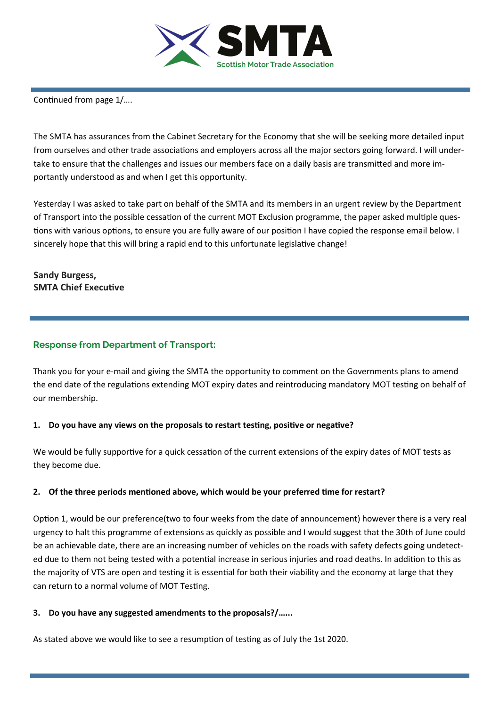

Continued from page 1/….

The SMTA has assurances from the Cabinet Secretary for the Economy that she will be seeking more detailed input from ourselves and other trade associations and employers across all the major sectors going forward. I will undertake to ensure that the challenges and issues our members face on a daily basis are transmitted and more importantly understood as and when I get this opportunity.

Yesterday I was asked to take part on behalf of the SMTA and its members in an urgent review by the Department of Transport into the possible cessation of the current MOT Exclusion programme, the paper asked multiple questions with various options, to ensure you are fully aware of our position I have copied the response email below. I sincerely hope that this will bring a rapid end to this unfortunate legislative change!

### **Sandy Burgess, SMTA Chief Executive**

### **Response from Department of Transport:**

Thank you for your e-mail and giving the SMTA the opportunity to comment on the Governments plans to amend the end date of the regulations extending MOT expiry dates and reintroducing mandatory MOT testing on behalf of our membership.

#### **1. Do you have any views on the proposals to restart testing, positive or negative?**

We would be fully supportive for a quick cessation of the current extensions of the expiry dates of MOT tests as they become due.

#### **2. Of the three periods mentioned above, which would be your preferred time for restart?**

Option 1, would be our preference(two to four weeks from the date of announcement) however there is a very real urgency to halt this programme of extensions as quickly as possible and I would suggest that the 30th of June could be an achievable date, there are an increasing number of vehicles on the roads with safety defects going undetected due to them not being tested with a potential increase in serious injuries and road deaths. In addition to this as the majority of VTS are open and testing it is essential for both their viability and the economy at large that they can return to a normal volume of MOT Testing.

#### **3. Do you have any suggested amendments to the proposals?/…...**

As stated above we would like to see a resumption of testing as of July the 1st 2020.